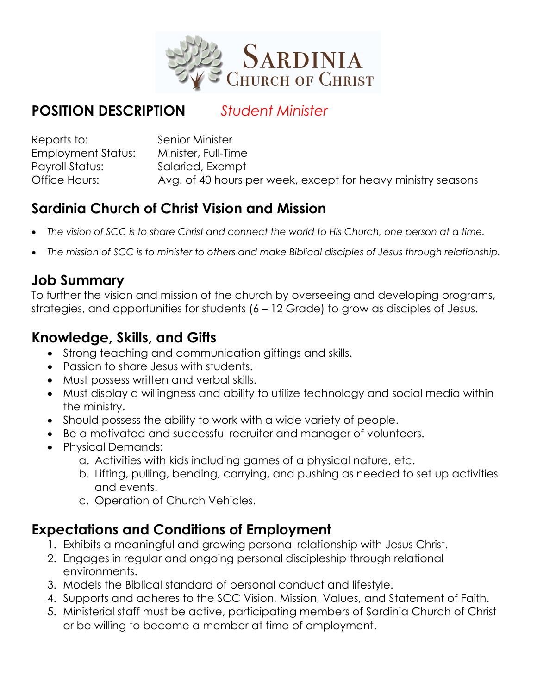

## **POSITION DESCRIPTION** *Student Minister*

| Reports to:        | Senior Minister                                              |
|--------------------|--------------------------------------------------------------|
| Employment Status: | Minister, Full-Time                                          |
| Payroll Status:    | Salaried, Exempt                                             |
| Office Hours:      | Avg. of 40 hours per week, except for heavy ministry seasons |

## **Sardinia Church of Christ Vision and Mission**

- *The vision of SCC is to share Christ and connect the world to His Church, one person at a time.*
- *The mission of SCC is to minister to others and make Biblical disciples of Jesus through relationship.*

#### **Job Summary**

To further the vision and mission of the church by overseeing and developing programs, strategies, and opportunities for students (6 – 12 Grade) to grow as disciples of Jesus.

### **Knowledge, Skills, and Gifts**

- Strong teaching and communication giftings and skills.
- Passion to share Jesus with students.
- Must possess written and verbal skills.
- Must display a willingness and ability to utilize technology and social media within the ministry.
- Should possess the ability to work with a wide variety of people.
- Be a motivated and successful recruiter and manager of volunteers.
- Physical Demands:
	- a. Activities with kids including games of a physical nature, etc.
	- b. Lifting, pulling, bending, carrying, and pushing as needed to set up activities and events.
	- c. Operation of Church Vehicles.

### **Expectations and Conditions of Employment**

- 1. Exhibits a meaningful and growing personal relationship with Jesus Christ.
- 2. Engages in regular and ongoing personal discipleship through relational environments.
- 3. Models the Biblical standard of personal conduct and lifestyle.
- 4. Supports and adheres to the SCC Vision, Mission, Values, and Statement of Faith.
- 5. Ministerial staff must be active, participating members of Sardinia Church of Christ or be willing to become a member at time of employment.